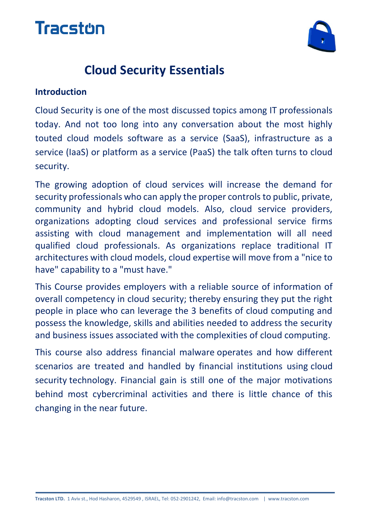



## **Cloud Security Essentials**

#### **Introduction**

Cloud Security is one of the most discussed topics among IT professionals today. And not too long into any conversation about the most highly touted cloud models software as a service (SaaS), infrastructure as a service (IaaS) or platform as a service (PaaS) the talk often turns to cloud security.

The growing adoption of cloud services will increase the demand for security professionals who can apply the proper controls to public, private, community and hybrid cloud models. Also, cloud service providers, organizations adopting cloud services and professional service firms assisting with cloud management and implementation will all need qualified cloud professionals. As organizations replace traditional IT architectures with cloud models, cloud expertise will move from a "nice to have" capability to a "must have."

This Course provides employers with a reliable source of information of overall competency in cloud security; thereby ensuring they put the right people in place who can leverage the 3 benefits of cloud computing and possess the knowledge, skills and abilities needed to address the security and business issues associated with the complexities of cloud computing.

This course also address financial malware operates and how different scenarios are treated and handled by financial institutions using cloud security technology. Financial gain is still one of the major motivations behind most cybercriminal activities and there is little chance of this changing in the near future.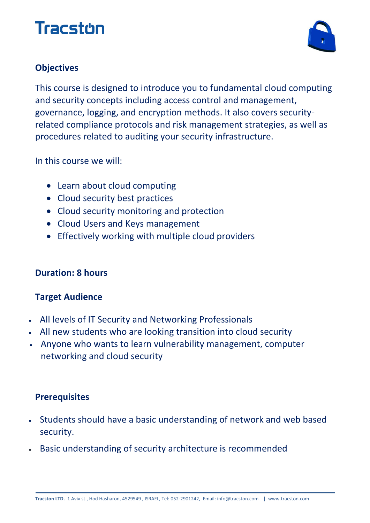# Tracston



### **Objectives**

This course is designed to introduce you to fundamental cloud computing and security concepts including access control and management, governance, logging, and encryption methods. It also covers securityrelated compliance protocols and risk management strategies, as well as procedures related to auditing your security infrastructure.

In this course we will:

- Learn about cloud computing
- Cloud security best practices
- Cloud security monitoring and protection
- Cloud Users and Keys management
- Effectively working with multiple cloud providers

#### **Duration: 8 hours**

### **Target Audience**

- All levels of IT Security and Networking Professionals
- All new students who are looking transition into cloud security
- Anyone who wants to learn vulnerability management, computer networking and cloud security

#### **Prerequisites**

- Students should have a basic understanding of network and web based security.
- Basic understanding of security architecture is recommended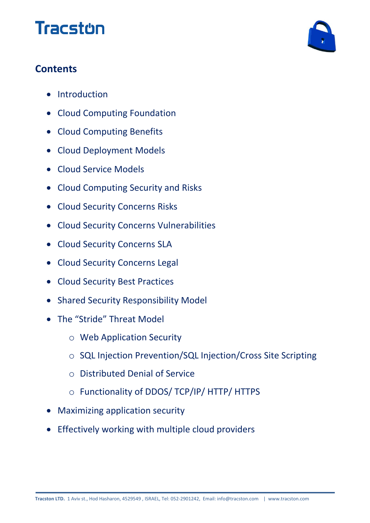# **Tracston**



### **Contents**

- Introduction
- Cloud Computing Foundation
- Cloud Computing Benefits
- Cloud Deployment Models
- Cloud Service Models
- Cloud Computing Security and Risks
- Cloud Security Concerns Risks
- Cloud Security Concerns Vulnerabilities
- Cloud Security Concerns SLA
- Cloud Security Concerns Legal
- Cloud Security Best Practices
- Shared Security Responsibility Model
- The "Stride" Threat Model
	- o Web Application Security
	- o SQL Injection Prevention/SQL Injection/Cross Site Scripting
	- o Distributed Denial of Service
	- o Functionality of DDOS/ TCP/IP/ HTTP/ HTTPS
- Maximizing application security
- Effectively working with multiple cloud providers